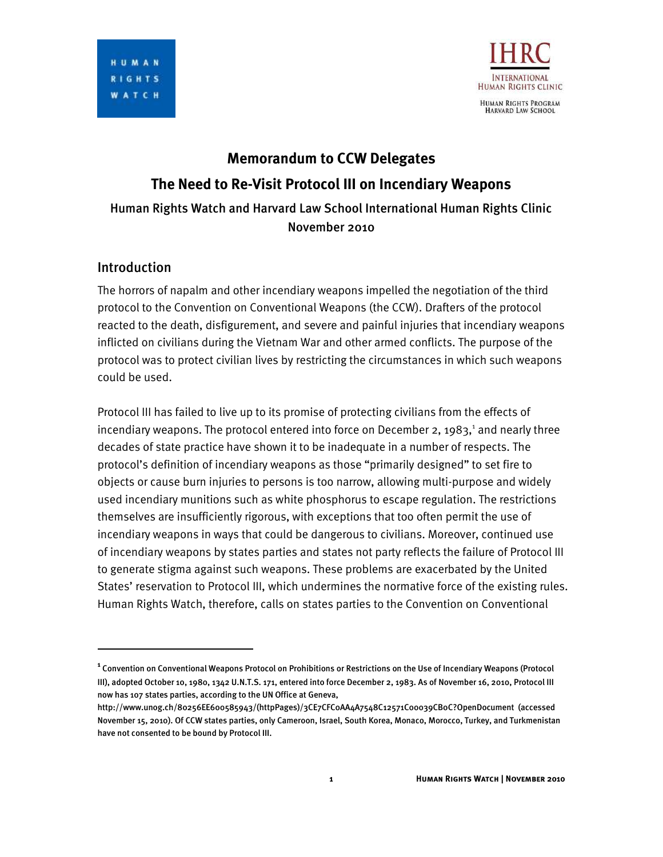

# **Memorandum to CCW Delegates The Need to Re-Visit Protocol III on Incendiary Weapons** Human Rights Watch and Harvard Law School International Human Rights Clinic November 2010

## Introduction

I

The horrors of napalm and other incendiary weapons impelled the negotiation of the third protocol to the Convention on Conventional Weapons (the CCW). Drafters of the protocol reacted to the death, disfigurement, and severe and painful injuries that incendiary weapons inflicted on civilians during the Vietnam War and other armed conflicts. The purpose of the protocol was to protect civilian lives by restricting the circumstances in which such weapons could be used.

Protocol III has failed to live up to its promise of protecting civilians from the effects of incendiary weapons. The protocol entered into force on December 2, 1983, $^1$  and nearly three decades of state practice have shown it to be inadequate in a number of respects. The protocol's definition of incendiary weapons as those "primarily designed" to set fire to objects or cause burn injuries to persons is too narrow, allowing multi-purpose and widely used incendiary munitions such as white phosphorus to escape regulation. The restrictions themselves are insufficiently rigorous, with exceptions that too often permit the use of incendiary weapons in ways that could be dangerous to civilians. Moreover, continued use of incendiary weapons by states parties and states not party reflects the failure of Protocol III to generate stigma against such weapons. These problems are exacerbated by the United States' reservation to Protocol III, which undermines the normative force of the existing rules. Human Rights Watch, therefore, calls on states parties to the Convention on Conventional

**<sup>1</sup>** Convention on Conventional Weapons Protocol on Prohibitions or Restrictions on the Use of Incendiary Weapons (Protocol III), adopted October 10, 1980, 1342 U.N.T.S. 171, entered into force December 2, 1983. As of November 16, 2010, Protocol III now has 107 states parties, according to the UN Office at Geneva,

http://www.unog.ch/80256EE600585943/(httpPages)/3CE7CFC0AA4A7548C12571C00039CB0C?OpenDocument (accessed November 15, 2010). Of CCW states parties, only Cameroon, Israel, South Korea, Monaco, Morocco, Turkey, and Turkmenistan have not consented to be bound by Protocol III.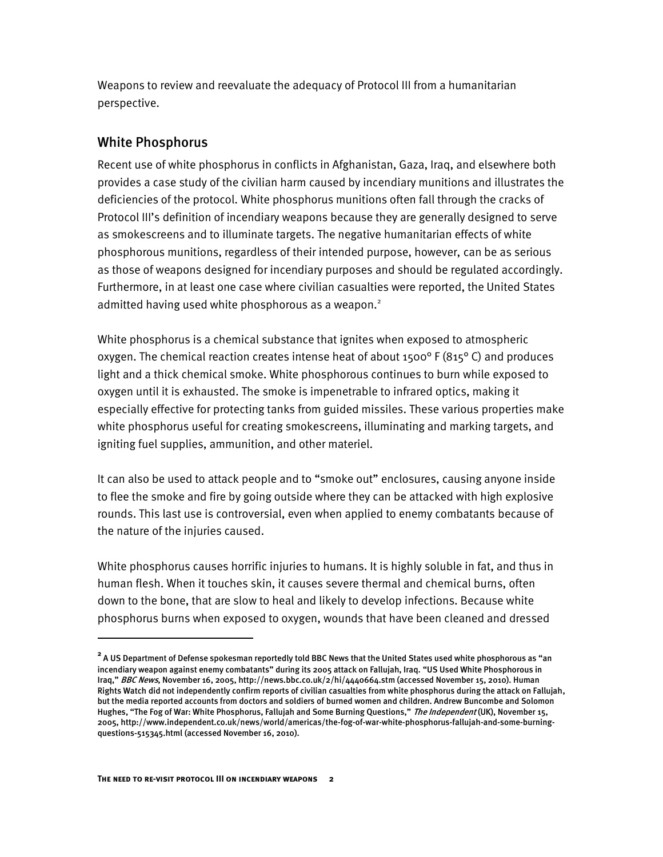Weapons to review and reevaluate the adequacy of Protocol III from a humanitarian perspective.

## White Phosphorus

Recent use of white phosphorus in conflicts in Afghanistan, Gaza, Iraq, and elsewhere both provides a case study of the civilian harm caused by incendiary munitions and illustrates the deficiencies of the protocol. White phosphorus munitions often fall through the cracks of Protocol III's definition of incendiary weapons because they are generally designed to serve as smokescreens and to illuminate targets. The negative humanitarian effects of white phosphorous munitions, regardless of their intended purpose, however, can be as serious as those of weapons designed for incendiary purposes and should be regulated accordingly. Furthermore, in at least one case where civilian casualties were reported, the United States admitted having used white phosphorous as a weapon. $2$ 

White phosphorus is a chemical substance that ignites when exposed to atmospheric oxygen. The chemical reaction creates intense heat of about 1500° F (815° C) and produces light and a thick chemical smoke. White phosphorous continues to burn while exposed to oxygen until it is exhausted. The smoke is impenetrable to infrared optics, making it especially effective for protecting tanks from guided missiles. These various properties make white phosphorus useful for creating smokescreens, illuminating and marking targets, and igniting fuel supplies, ammunition, and other materiel.

It can also be used to attack people and to "smoke out" enclosures, causing anyone inside to flee the smoke and fire by going outside where they can be attacked with high explosive rounds. This last use is controversial, even when applied to enemy combatants because of the nature of the injuries caused.

White phosphorus causes horrific injuries to humans. It is highly soluble in fat, and thus in human flesh. When it touches skin, it causes severe thermal and chemical burns, often down to the bone, that are slow to heal and likely to develop infections. Because white phosphorus burns when exposed to oxygen, wounds that have been cleaned and dressed

j

**<sup>2</sup>** A US Department of Defense spokesman reportedly told BBC News that the United States used white phosphorous as "an incendiary weapon against enemy combatants" during its 2005 attack on Fallujah, Iraq. "US Used White Phosphorous in Iraq," BBC News, November 16, 2005, http://news.bbc.co.uk/2/hi/4440664.stm (accessed November 15, 2010). Human Rights Watch did not independently confirm reports of civilian casualties from white phosphorus during the attack on Fallujah, but the media reported accounts from doctors and soldiers of burned women and children. Andrew Buncombe and Solomon Hughes, "The Fog of War: White Phosphorus, Fallujah and Some Burning Questions," The Independent (UK), November 15, 2005, http://www.independent.co.uk/news/world/americas/the-fog-of-war-white-phosphorus-fallujah-and-some-burningquestions-515345.html (accessed November 16, 2010).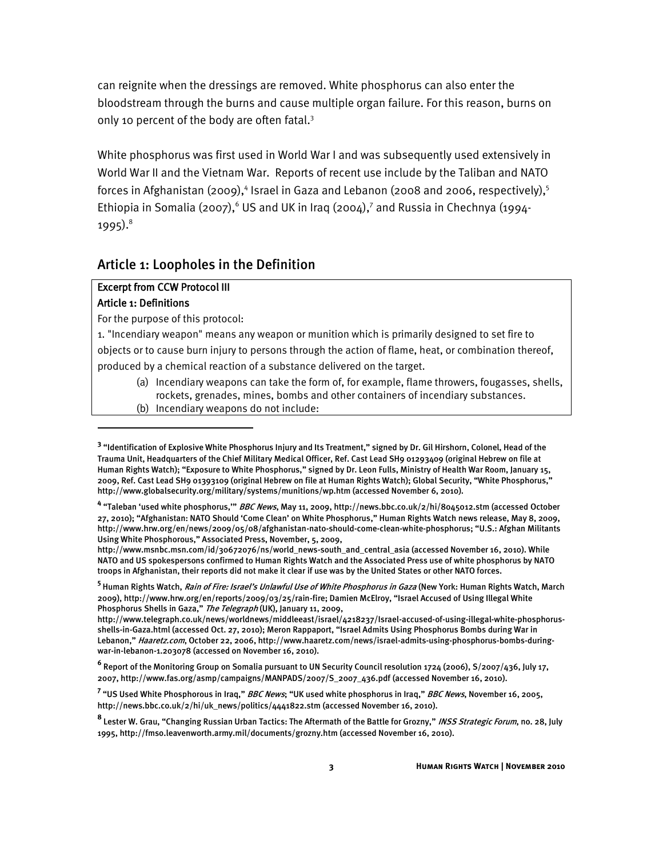can reignite when the dressings are removed. White phosphorus can also enter the bloodstream through the burns and cause multiple organ failure. For this reason, burns on only 10 percent of the body are often fatal.<sup>3</sup>

White phosphorus was first used in World War I and was subsequently used extensively in World War II and the Vietnam War. Reports of recent use include by the Taliban and NATO forces in Afghanistan (2009),<sup>4</sup> Israel in Gaza and Lebanon (2008 and 2006, respectively),<sup>5</sup> Ethiopia in Somalia (2007), $^{\circ}$  US and UK in Iraq (2004),<sup>7</sup> and Russia in Chechnya (1994-1995). $^{8}$ 

## Article 1: Loopholes in the Definition

# Excerpt from CCW Protocol III

# Article 1: Definitions

j

For the purpose of this protocol:

1. "Incendiary weapon" means any weapon or munition which is primarily designed to set fire to objects or to cause burn injury to persons through the action of flame, heat, or combination thereof, produced by a chemical reaction of a substance delivered on the target.

- (a) Incendiary weapons can take the form of, for example, flame throwers, fougasses, shells, rockets, grenades, mines, bombs and other containers of incendiary substances.
- (b) Incendiary weapons do not include:

<sup>&</sup>lt;sup>3</sup> "Identification of Explosive White Phosphorus Injury and Its Treatment," signed by Dr. Gil Hirshorn, Colonel, Head of the Trauma Unit, Headquarters of the Chief Military Medical Officer, Ref. Cast Lead SH9 01293409 (original Hebrew on file at Human Rights Watch); "Exposure to White Phosphorus," signed by Dr. Leon Fulls, Ministry of Health War Room, January 15, 2009, Ref. Cast Lead SH9 01393109 (original Hebrew on file at Human Rights Watch); Global Security, "White Phosphorus," http://www.globalsecurity.org/military/systems/munitions/wp.htm (accessed November 6, 2010).

**<sup>4</sup>** "Taleban 'used white phosphorus,'" BBC News, May 11, 2009, http://news.bbc.co.uk/2/hi/8045012.stm (accessed October 27, 2010); "Afghanistan: NATO Should 'Come Clean' on White Phosphorus," Human Rights Watch news release, May 8, 2009, http://www.hrw.org/en/news/2009/05/08/afghanistan-nato-should-come-clean-white-phosphorus; "U.S.: Afghan Militants Using White Phosphorous," Associated Press, November, 5, 2009,

http://www.msnbc.msn.com/id/30672076/ns/world\_news-south\_and\_central\_asia (accessed November 16, 2010). While NATO and US spokespersons confirmed to Human Rights Watch and the Associated Press use of white phosphorus by NATO troops in Afghanistan, their reports did not make it clear if use was by the United States or other NATO forces.

<sup>&</sup>lt;sup>5</sup> Human Rights Watch, *Rain of Fire: Israel's Unlawful Use of White Phosphorus in Gaza (New York: Human Rights Watch, March* 2009), http://www.hrw.org/en/reports/2009/03/25/rain-fire; Damien McElroy, "Israel Accused of Using Illegal White Phosphorus Shells in Gaza," The Telegraph (UK), January 11, 2009,

http://www.telegraph.co.uk/news/worldnews/middleeast/israel/4218237/Israel-accused-of-using-illegal-white-phosphorusshells-in-Gaza.html (accessed Oct. 27, 2010); Meron Rappaport, "Israel Admits Using Phosphorus Bombs during War in Lebanon," Haaretz.com, October 22, 2006, http://www.haaretz.com/news/israel-admits-using-phosphorus-bombs-duringwar-in-lebanon-1.203078 (accessed on November 16, 2010).

**<sup>6</sup>** Report of the Monitoring Group on Somalia pursuant to UN Security Council resolution 1724 (2006), S/2007/436, July 17, 2007, http://www.fas.org/asmp/campaigns/MANPADS/2007/S\_2007\_436.pdf (accessed November 16, 2010).

<sup>&</sup>lt;sup>7</sup> "US Used White Phosphorous in Iraq," *BBC News*; "UK used white phosphorus in Iraq," *BBC News*, November 16, 2005, http://news.bbc.co.uk/2/hi/uk\_news/politics/4441822.stm (accessed November 16, 2010).

<sup>&</sup>lt;sup>8</sup> Lester W. Grau, "Changing Russian Urban Tactics: The Aftermath of the Battle for Grozny," *INSS Strategic Forum*, no. 28, July 1995, http://fmso.leavenworth.army.mil/documents/grozny.htm (accessed November 16, 2010).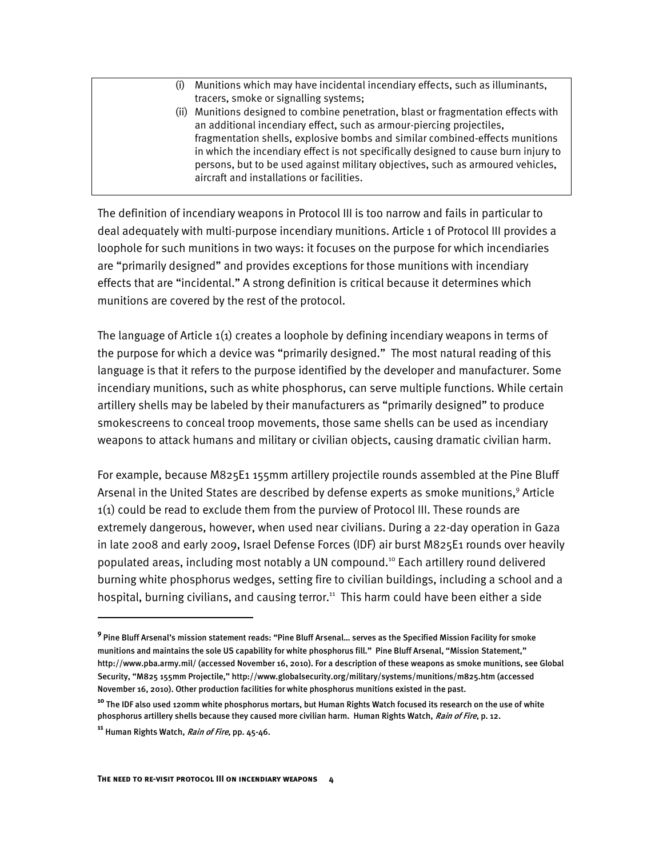- (i) Munitions which may have incidental incendiary effects, such as illuminants, tracers, smoke or signalling systems;
- (ii) Munitions designed to combine penetration, blast or fragmentation effects with an additional incendiary effect, such as armour-piercing projectiles, fragmentation shells, explosive bombs and similar combined-effects munitions in which the incendiary effect is not specifically designed to cause burn injury to persons, but to be used against military objectives, such as armoured vehicles, aircraft and installations or facilities.

The definition of incendiary weapons in Protocol III is too narrow and fails in particular to deal adequately with multi-purpose incendiary munitions. Article 1 of Protocol III provides a loophole for such munitions in two ways: it focuses on the purpose for which incendiaries are "primarily designed" and provides exceptions for those munitions with incendiary effects that are "incidental." A strong definition is critical because it determines which munitions are covered by the rest of the protocol.

The language of Article 1(1) creates a loophole by defining incendiary weapons in terms of the purpose for which a device was "primarily designed." The most natural reading of this language is that it refers to the purpose identified by the developer and manufacturer. Some incendiary munitions, such as white phosphorus, can serve multiple functions. While certain artillery shells may be labeled by their manufacturers as "primarily designed" to produce smokescreens to conceal troop movements, those same shells can be used as incendiary weapons to attack humans and military or civilian objects, causing dramatic civilian harm.

For example, because M825E1 155mm artillery projectile rounds assembled at the Pine Bluff Arsenal in the United States are described by defense experts as smoke munitions,<sup>9</sup> Article 1(1) could be read to exclude them from the purview of Protocol III. These rounds are extremely dangerous, however, when used near civilians. During a 22-day operation in Gaza in late 2008 and early 2009, Israel Defense Forces (IDF) air burst M825E1 rounds over heavily populated areas, including most notably a UN compound.<sup>10</sup> Each artillery round delivered burning white phosphorus wedges, setting fire to civilian buildings, including a school and a hospital, burning civilians, and causing terror.<sup>11</sup> This harm could have been either a side

I

**<sup>9</sup>** Pine Bluff Arsenal's mission statement reads: "Pine Bluff Arsenal… serves as the Specified Mission Facility for smoke munitions and maintains the sole US capability for white phosphorus fill." Pine Bluff Arsenal, "Mission Statement," http://www.pba.army.mil/ (accessed November 16, 2010). For a description of these weapons as smoke munitions, see Global Security, "M825 155mm Projectile," http://www.globalsecurity.org/military/systems/munitions/m825.htm (accessed November 16, 2010). Other production facilities for white phosphorus munitions existed in the past.

**<sup>10</sup>** The IDF also used 120mm white phosphorus mortars, but Human Rights Watch focused its research on the use of white phosphorus artillery shells because they caused more civilian harm. Human Rights Watch, Rain of Fire, p. 12.

**<sup>11</sup>** Human Rights Watch, Rain of Fire, pp. 45-46.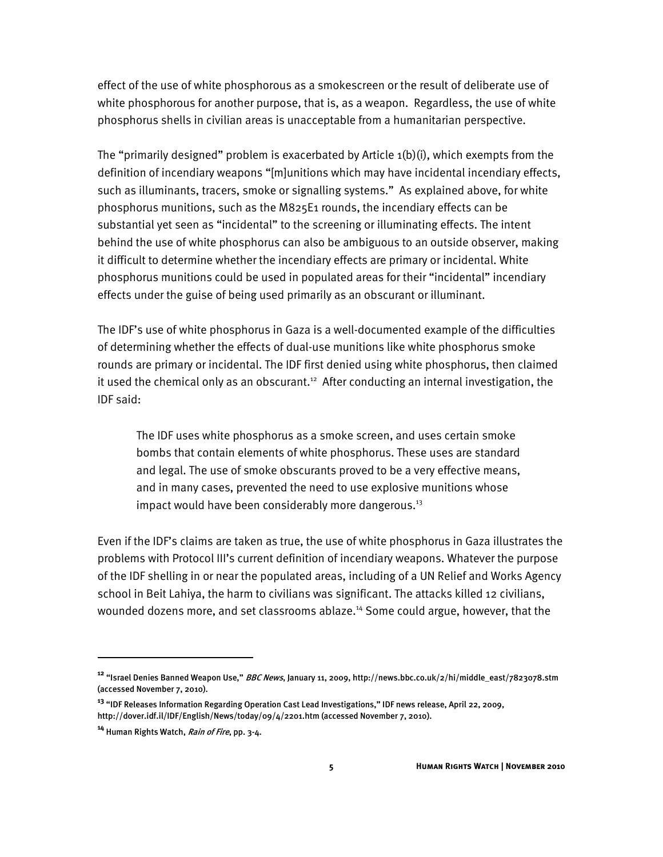effect of the use of white phosphorous as a smokescreen or the result of deliberate use of white phosphorous for another purpose, that is, as a weapon. Regardless, the use of white phosphorus shells in civilian areas is unacceptable from a humanitarian perspective.

The "primarily designed" problem is exacerbated by Article 1(b)(i), which exempts from the definition of incendiary weapons "[m]unitions which may have incidental incendiary effects, such as illuminants, tracers, smoke or signalling systems." As explained above, for white phosphorus munitions, such as the M825E1 rounds, the incendiary effects can be substantial yet seen as "incidental" to the screening or illuminating effects. The intent behind the use of white phosphorus can also be ambiguous to an outside observer, making it difficult to determine whether the incendiary effects are primary or incidental. White phosphorus munitions could be used in populated areas for their "incidental" incendiary effects under the guise of being used primarily as an obscurant or illuminant.

The IDF's use of white phosphorus in Gaza is a well-documented example of the difficulties of determining whether the effects of dual-use munitions like white phosphorus smoke rounds are primary or incidental. The IDF first denied using white phosphorus, then claimed it used the chemical only as an obscurant.<sup>12</sup> After conducting an internal investigation, the IDF said:

The IDF uses white phosphorus as a smoke screen, and uses certain smoke bombs that contain elements of white phosphorus. These uses are standard and legal. The use of smoke obscurants proved to be a very effective means, and in many cases, prevented the need to use explosive munitions whose impact would have been considerably more dangerous.<sup>13</sup>

Even if the IDF's claims are taken as true, the use of white phosphorus in Gaza illustrates the problems with Protocol III's current definition of incendiary weapons. Whatever the purpose of the IDF shelling in or near the populated areas, including of a UN Relief and Works Agency school in Beit Lahiya, the harm to civilians was significant. The attacks killed 12 civilians, wounded dozens more, and set classrooms ablaze.<sup>14</sup> Some could argue, however, that the

j

**<sup>12</sup>** "Israel Denies Banned Weapon Use," BBC News, January 11, 2009, http://news.bbc.co.uk/2/hi/middle\_east/7823078.stm (accessed November 7, 2010).

**<sup>13</sup>** "IDF Releases Information Regarding Operation Cast Lead Investigations," IDF news release, April 22, 2009, http://dover.idf.il/IDF/English/News/today/09/4/2201.htm (accessed November 7, 2010).

**<sup>14</sup>** Human Rights Watch, Rain of Fire, pp. 3-4.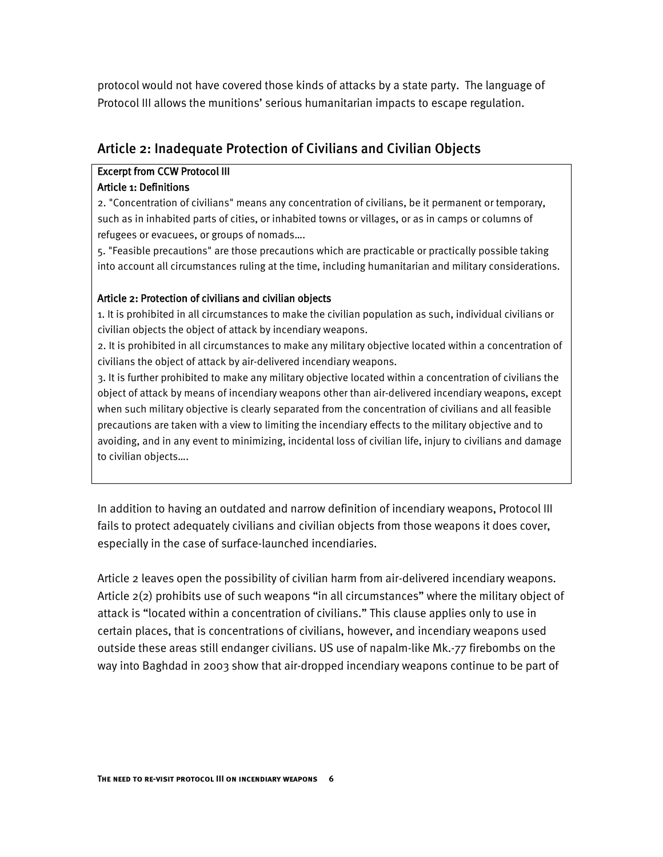protocol would not have covered those kinds of attacks by a state party. The language of Protocol III allows the munitions' serious humanitarian impacts to escape regulation.

# Article 2: Inadequate Protection of Civilians and Civilian Objects

## Excerpt from CCW Protocol III

#### Article 1: Definitions

2. "Concentration of civilians" means any concentration of civilians, be it permanent or temporary, such as in inhabited parts of cities, or inhabited towns or villages, or as in camps or columns of refugees or evacuees, or groups of nomads….

5. "Feasible precautions" are those precautions which are practicable or practically possible taking into account all circumstances ruling at the time, including humanitarian and military considerations.

#### Article 2: Protection of civilians and civilian objects

1. It is prohibited in all circumstances to make the civilian population as such, individual civilians or civilian objects the object of attack by incendiary weapons.

2. It is prohibited in all circumstances to make any military objective located within a concentration of civilians the object of attack by air-delivered incendiary weapons.

3. It is further prohibited to make any military objective located within a concentration of civilians the object of attack by means of incendiary weapons other than air-delivered incendiary weapons, except when such military objective is clearly separated from the concentration of civilians and all feasible precautions are taken with a view to limiting the incendiary effects to the military objective and to avoiding, and in any event to minimizing, incidental loss of civilian life, injury to civilians and damage to civilian objects….

In addition to having an outdated and narrow definition of incendiary weapons, Protocol III fails to protect adequately civilians and civilian objects from those weapons it does cover, especially in the case of surface-launched incendiaries.

Article 2 leaves open the possibility of civilian harm from air-delivered incendiary weapons. Article 2(2) prohibits use of such weapons "in all circumstances" where the military object of attack is "located within a concentration of civilians." This clause applies only to use in certain places, that is concentrations of civilians, however, and incendiary weapons used outside these areas still endanger civilians. US use of napalm-like Mk.-77 firebombs on the way into Baghdad in 2003 show that air-dropped incendiary weapons continue to be part of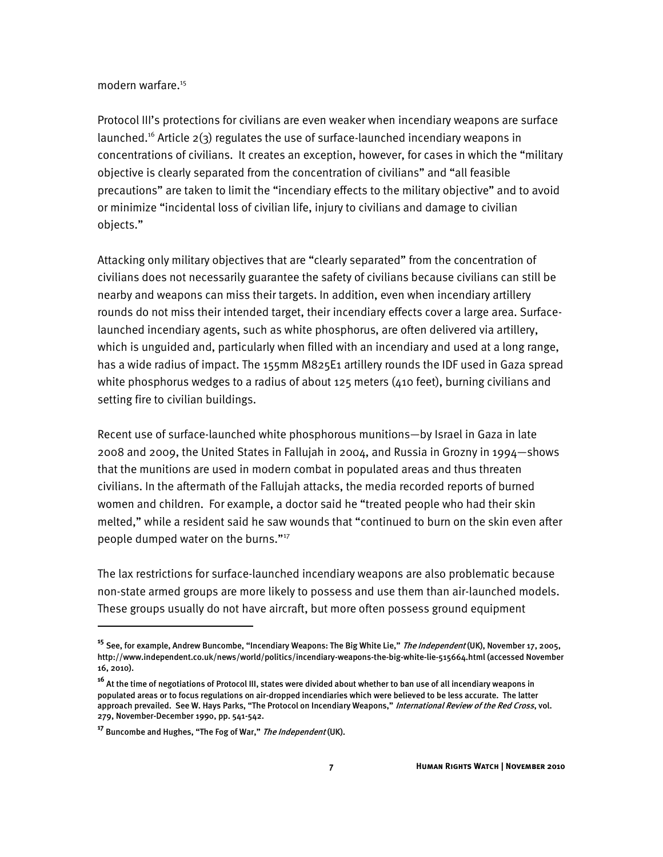#### modern warfare.<sup>15</sup>

Protocol III's protections for civilians are even weaker when incendiary weapons are surface launched.<sup>16</sup> Article  $2(3)$  regulates the use of surface-launched incendiary weapons in concentrations of civilians. It creates an exception, however, for cases in which the "military objective is clearly separated from the concentration of civilians" and "all feasible precautions" are taken to limit the "incendiary effects to the military objective" and to avoid or minimize "incidental loss of civilian life, injury to civilians and damage to civilian objects."

Attacking only military objectives that are "clearly separated" from the concentration of civilians does not necessarily guarantee the safety of civilians because civilians can still be nearby and weapons can miss their targets. In addition, even when incendiary artillery rounds do not miss their intended target, their incendiary effects cover a large area. Surfacelaunched incendiary agents, such as white phosphorus, are often delivered via artillery, which is unguided and, particularly when filled with an incendiary and used at a long range, has a wide radius of impact. The 155mm M825E1 artillery rounds the IDF used in Gaza spread white phosphorus wedges to a radius of about 125 meters (410 feet), burning civilians and setting fire to civilian buildings.

Recent use of surface-launched white phosphorous munitions—by Israel in Gaza in late 2008 and 2009, the United States in Fallujah in 2004, and Russia in Grozny in 1994—shows that the munitions are used in modern combat in populated areas and thus threaten civilians. In the aftermath of the Fallujah attacks, the media recorded reports of burned women and children. For example, a doctor said he "treated people who had their skin melted," while a resident said he saw wounds that "continued to burn on the skin even after people dumped water on the burns."<sup>17</sup>

The lax restrictions for surface-launched incendiary weapons are also problematic because non-state armed groups are more likely to possess and use them than air-launched models. These groups usually do not have aircraft, but more often possess ground equipment

j

**<sup>15</sup>** See, for example, Andrew Buncombe, "Incendiary Weapons: The Big White Lie," The Independent (UK), November 17, 2005, http://www.independent.co.uk/news/world/politics/incendiary-weapons-the-big-white-lie-515664.html (accessed November 16, 2010).

**<sup>16</sup>** At the time of negotiations of Protocol III, states were divided about whether to ban use of all incendiary weapons in populated areas or to focus regulations on air-dropped incendiaries which were believed to be less accurate. The latter approach prevailed. See W. Hays Parks, "The Protocol on Incendiary Weapons," International Review of the Red Cross, vol. 279, November-December 1990, pp. 541-542.

**<sup>17</sup>** Buncombe and Hughes, "The Fog of War," The Independent (UK).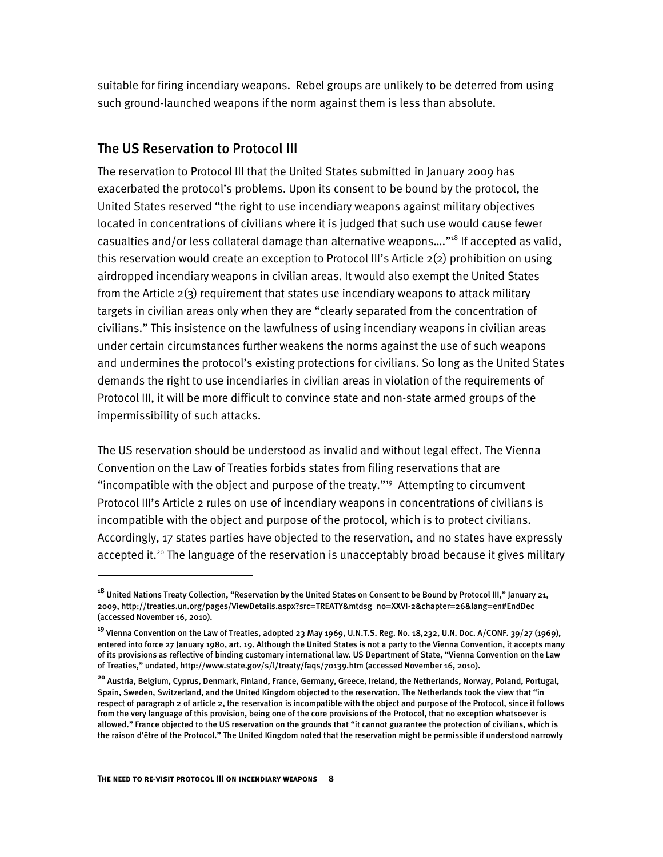suitable for firing incendiary weapons. Rebel groups are unlikely to be deterred from using such ground-launched weapons if the norm against them is less than absolute.

### The US Reservation to Protocol III

The reservation to Protocol III that the United States submitted in January 2009 has exacerbated the protocol's problems. Upon its consent to be bound by the protocol, the United States reserved "the right to use incendiary weapons against military objectives located in concentrations of civilians where it is judged that such use would cause fewer casualties and/or less collateral damage than alternative weapons...."<sup>18</sup> If accepted as valid, this reservation would create an exception to Protocol III's Article 2(2) prohibition on using airdropped incendiary weapons in civilian areas. It would also exempt the United States from the Article 2(3) requirement that states use incendiary weapons to attack military targets in civilian areas only when they are "clearly separated from the concentration of civilians." This insistence on the lawfulness of using incendiary weapons in civilian areas under certain circumstances further weakens the norms against the use of such weapons and undermines the protocol's existing protections for civilians. So long as the United States demands the right to use incendiaries in civilian areas in violation of the requirements of Protocol III, it will be more difficult to convince state and non-state armed groups of the impermissibility of such attacks.

The US reservation should be understood as invalid and without legal effect. The Vienna Convention on the Law of Treaties forbids states from filing reservations that are "incompatible with the object and purpose of the treaty."<sup>19</sup> Attempting to circumvent Protocol III's Article 2 rules on use of incendiary weapons in concentrations of civilians is incompatible with the object and purpose of the protocol, which is to protect civilians. Accordingly, 17 states parties have objected to the reservation, and no states have expressly accepted it.<sup>20</sup> The language of the reservation is unacceptably broad because it gives military

I

**<sup>18</sup>** United Nations Treaty Collection, "Reservation by the United States on Consent to be Bound by Protocol III," January 21, 2009, http://treaties.un.org/pages/ViewDetails.aspx?src=TREATY&mtdsg\_no=XXVI-2&chapter=26&lang=en#EndDec (accessed November 16, 2010).

**<sup>19</sup>** Vienna Convention on the Law of Treaties, adopted 23 May 1969, U.N.T.S. Reg. No. 18,232, U.N. Doc. A/CONF. 39/27 (1969), entered into force 27 January 1980, art. 19. Although the United States is not a party to the Vienna Convention, it accepts many of its provisions as reflective of binding customary international law. US Department of State, "Vienna Convention on the Law of Treaties," undated, http://www.state.gov/s/l/treaty/faqs/70139.htm (accessed November 16, 2010).

**<sup>20</sup>** Austria, Belgium, Cyprus, Denmark, Finland, France, Germany, Greece, Ireland, the Netherlands, Norway, Poland, Portugal, Spain, Sweden, Switzerland, and the United Kingdom objected to the reservation. The Netherlands took the view that "in respect of paragraph 2 of article 2, the reservation is incompatible with the object and purpose of the Protocol, since it follows from the very language of this provision, being one of the core provisions of the Protocol, that no exception whatsoever is allowed." France objected to the US reservation on the grounds that "it cannot guarantee the protection of civilians, which is the raison d'être of the Protocol." The United Kingdom noted that the reservation might be permissible if understood narrowly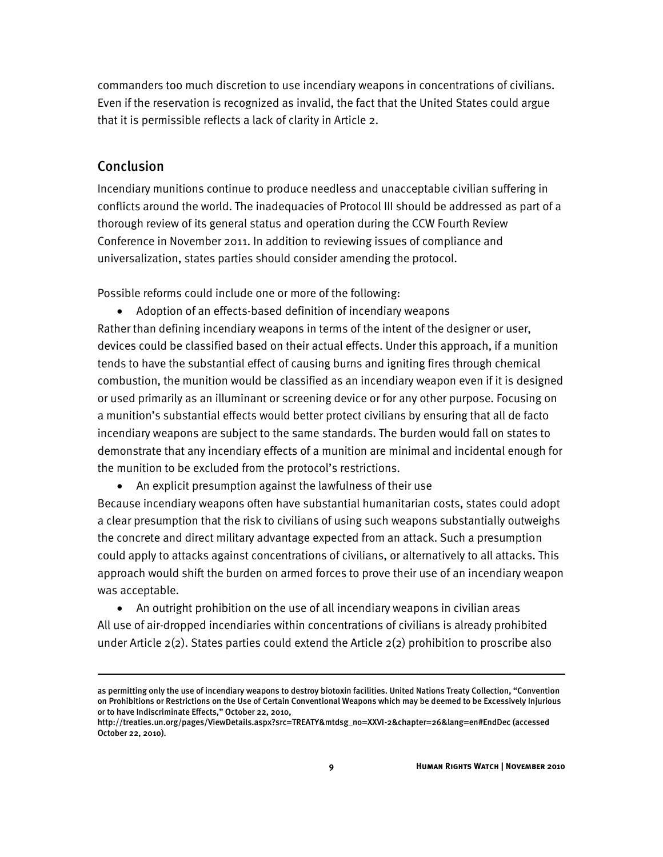commanders too much discretion to use incendiary weapons in concentrations of civilians. Even if the reservation is recognized as invalid, the fact that the United States could argue that it is permissible reflects a lack of clarity in Article 2.

#### Conclusion

j

Incendiary munitions continue to produce needless and unacceptable civilian suffering in conflicts around the world. The inadequacies of Protocol III should be addressed as part of a thorough review of its general status and operation during the CCW Fourth Review Conference in November 2011. In addition to reviewing issues of compliance and universalization, states parties should consider amending the protocol.

Possible reforms could include one or more of the following:

- Adoption of an effects-based definition of incendiary weapons Rather than defining incendiary weapons in terms of the intent of the designer or user, devices could be classified based on their actual effects. Under this approach, if a munition tends to have the substantial effect of causing burns and igniting fires through chemical combustion, the munition would be classified as an incendiary weapon even if it is designed or used primarily as an illuminant or screening device or for any other purpose. Focusing on a munition's substantial effects would better protect civilians by ensuring that all de facto incendiary weapons are subject to the same standards. The burden would fall on states to demonstrate that any incendiary effects of a munition are minimal and incidental enough for the munition to be excluded from the protocol's restrictions.
	- An explicit presumption against the lawfulness of their use

Because incendiary weapons often have substantial humanitarian costs, states could adopt a clear presumption that the risk to civilians of using such weapons substantially outweighs the concrete and direct military advantage expected from an attack. Such a presumption could apply to attacks against concentrations of civilians, or alternatively to all attacks. This approach would shift the burden on armed forces to prove their use of an incendiary weapon was acceptable.

 An outright prohibition on the use of all incendiary weapons in civilian areas All use of air-dropped incendiaries within concentrations of civilians is already prohibited under Article  $2(2)$ . States parties could extend the Article  $2(2)$  prohibition to proscribe also

as permitting only the use of incendiary weapons to destroy biotoxin facilities. United Nations Treaty Collection, "Convention on Prohibitions or Restrictions on the Use of Certain Conventional Weapons which may be deemed to be Excessively Injurious or to have Indiscriminate Effects," October 22, 2010,

http://treaties.un.org/pages/ViewDetails.aspx?src=TREATY&mtdsg\_no=XXVI-2&chapter=26&lang=en#EndDec (accessed October 22, 2010).